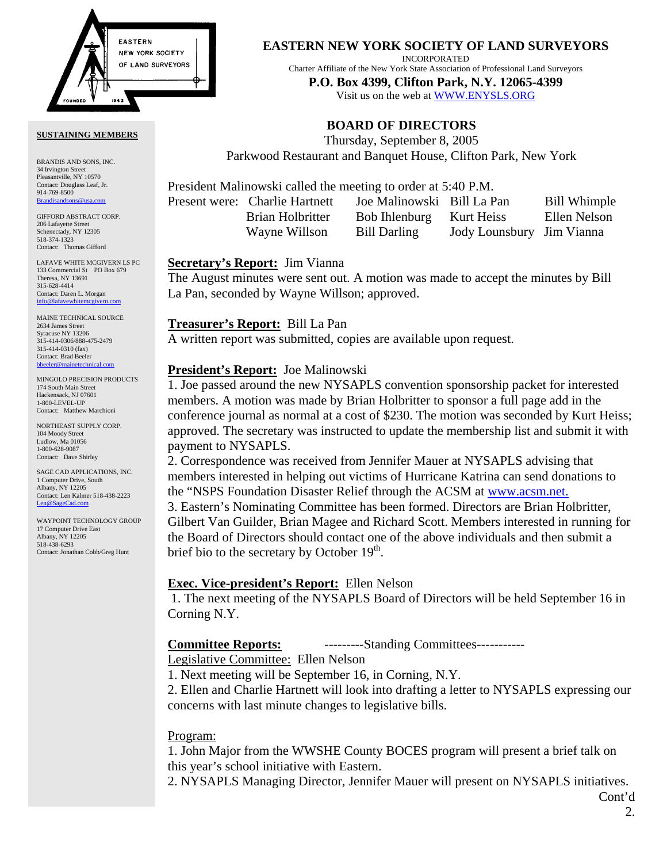

#### **SUSTAINING MEMBERS**

BRANDIS AND SONS, INC. 34 Irvington Street Pleasantville, NY 10570 Contact: Douglass Leaf, Jr. 914-769-8500 [Brandisandsons@usa.com](mailto:brandisandsons@usa.com)

GIFFORD ABSTRACT CORP. 206 Lafayette Street Schenectady, NY 12305 518-374-1323 Contact: Thomas Gifford

LAFAVE WHITE MCGIVERN LS PC 133 Commercial St PO Box 679 Theresa, NY 13691 315-628-4414 Contact: Daren L. Morgan [info@lafavewhitemcgivern.com](mailto:info@lafavewhitemcgivern.com)

MAINE TECHNICAL SOURCE 2634 James Street Syracuse NY 13206 315-414-0306/888-475-2479 315-414-0310 (fax) Contact: Brad Beeler bbeeler@mainetechni

MINGOLO PRECISION PRODUCTS 174 South Main Street Hackensack, NJ 07601 1-800-LEVEL-UP Contact: Matthew Marchioni

NORTHEAST SUPPLY CORP. 104 Moody Street Ludlow, Ma 01056 1-800-628-9087 Contact: Dave Shirley

SAGE CAD APPLICATIONS, INC. 1 Computer Drive, South Albany, NY 12205 Contact: Len Kalmer 518-438-2223 [Len@SageCad.com](mailto:len@sagecad.com)

WAYPOINT TECHNOLOGY GROUP 17 Computer Drive East Albany, NY 12205 518-438-6293 Contact: Jonathan Cobb/Greg Hunt

## **EASTERN NEW YORK SOCIETY OF LAND SURVEYORS**

INCORPORATED

Charter Affiliate of the New York State Association of Professional Land Surveyors

**P.O. Box 4399, Clifton Park, N.Y. 12065-4399**  Visit us on the web a[t WWW.ENYSLS.ORG](www.enysls.org)

# **BOARD OF DIRECTORS**

Thursday, September 8, 2005 Parkwood Restaurant and Banquet House, Clifton Park, New York

President Malinowski called the meeting to order at 5:40 P.M.

Present were: Charlie Hartnett Joe Malinowski Bill La Pan Bill Whimple

 Brian Holbritter Bob Ihlenburg Kurt Heiss Ellen Nelson Wayne Willson Bill Darling Jody Lounsbury Jim Vianna

### **Secretary's Report:** Jim Vianna

The August minutes were sent out. A motion was made to accept the minutes by Bill La Pan, seconded by Wayne Willson; approved.

### **Treasurer's Report:** Bill La Pan

A written report was submitted, copies are available upon request.

## **President's Report:** Joe Malinowski

1. Joe passed around the new NYSAPLS convention sponsorship packet for interested members. A motion was made by Brian Holbritter to sponsor a full page add in the conference journal as normal at a cost of \$230. The motion was seconded by Kurt Heiss; approved. The secretary was instructed to update the membership list and submit it with payment to NYSAPLS.

2. Correspondence was received from Jennifer Mauer at NYSAPLS advising that members interested in helping out victims of Hurricane Katrina can send donations to the "NSPS Foundation Disaster Relief through the ACSM at [www.acsm.net.](www.acsm.net)  3. Eastern's Nominating Committee has been formed. Directors are Brian Holbritter, Gilbert Van Guilder, Brian Magee and Richard Scott. Members interested in running for the Board of Directors should contact one of the above individuals and then submit a brief bio to the secretary by October  $19<sup>th</sup>$ .

#### **Exec. Vice-president's Report:** Ellen Nelson

 1. The next meeting of the NYSAPLS Board of Directors will be held September 16 in Corning N.Y.

## **Committee Reports:** ---------Standing Committees-----------

Legislative Committee: Ellen Nelson

1. Next meeting will be September 16, in Corning, N.Y.

2. Ellen and Charlie Hartnett will look into drafting a letter to NYSAPLS expressing our concerns with last minute changes to legislative bills.

## Program:

1. John Major from the WWSHE County BOCES program will present a brief talk on this year's school initiative with Eastern.

2. NYSAPLS Managing Director, Jennifer Mauer will present on NYSAPLS initiatives.

Cont'd 2.